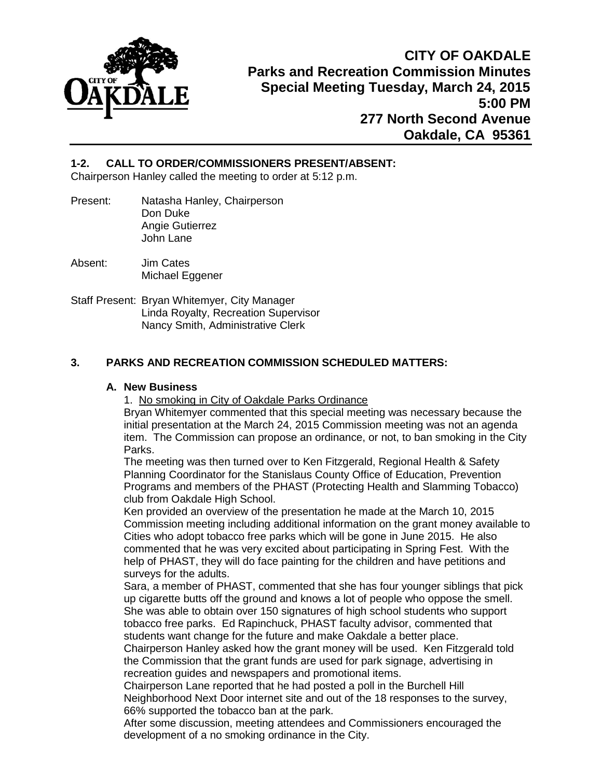

## **1-2. CALL TO ORDER/COMMISSIONERS PRESENT/ABSENT:**

Chairperson Hanley called the meeting to order at 5:12 p.m.

- Present: Natasha Hanley, Chairperson Don Duke Angie Gutierrez John Lane
- Absent: Jim Cates Michael Eggener
- Staff Present: Bryan Whitemyer, City Manager Linda Royalty, Recreation Supervisor Nancy Smith, Administrative Clerk

## **3. PARKS AND RECREATION COMMISSION SCHEDULED MATTERS:**

### **A. New Business**

1. No smoking in City of Oakdale Parks Ordinance

Bryan Whitemyer commented that this special meeting was necessary because the initial presentation at the March 24, 2015 Commission meeting was not an agenda item. The Commission can propose an ordinance, or not, to ban smoking in the City Parks.

The meeting was then turned over to Ken Fitzgerald, Regional Health & Safety Planning Coordinator for the Stanislaus County Office of Education, Prevention Programs and members of the PHAST (Protecting Health and Slamming Tobacco) club from Oakdale High School.

Ken provided an overview of the presentation he made at the March 10, 2015 Commission meeting including additional information on the grant money available to Cities who adopt tobacco free parks which will be gone in June 2015. He also commented that he was very excited about participating in Spring Fest. With the help of PHAST, they will do face painting for the children and have petitions and surveys for the adults.

Sara, a member of PHAST, commented that she has four younger siblings that pick up cigarette butts off the ground and knows a lot of people who oppose the smell. She was able to obtain over 150 signatures of high school students who support tobacco free parks. Ed Rapinchuck, PHAST faculty advisor, commented that students want change for the future and make Oakdale a better place.

Chairperson Hanley asked how the grant money will be used. Ken Fitzgerald told the Commission that the grant funds are used for park signage, advertising in recreation guides and newspapers and promotional items.

Chairperson Lane reported that he had posted a poll in the Burchell Hill Neighborhood Next Door internet site and out of the 18 responses to the survey, 66% supported the tobacco ban at the park.

After some discussion, meeting attendees and Commissioners encouraged the development of a no smoking ordinance in the City.